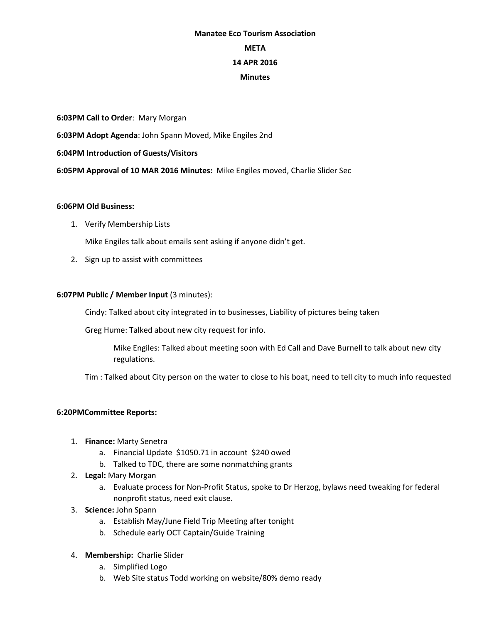# **Manatee Eco Tourism Association META 14 APR 2016 Minutes**

**6:03PM Call to Order**: Mary Morgan **6:03PM Adopt Agenda**: John Spann Moved, Mike Engiles 2nd **6:04PM Introduction of Guests/Visitors 6:05PM Approval of 10 MAR 2016 Minutes:** Mike Engiles moved, Charlie Slider Sec

#### **6:06PM Old Business:**

1. Verify Membership Lists

Mike Engiles talk about emails sent asking if anyone didn't get.

2. Sign up to assist with committees

# **6:07PM Public / Member Input** (3 minutes):

Cindy: Talked about city integrated in to businesses, Liability of pictures being taken

Greg Hume: Talked about new city request for info.

Mike Engiles: Talked about meeting soon with Ed Call and Dave Burnell to talk about new city regulations.

Tim : Talked about City person on the water to close to his boat, need to tell city to much info requested

# **6:20PMCommittee Reports:**

- 1. **Finance:** Marty Senetra
	- a. Financial Update \$1050.71 in account \$240 owed
	- b. Talked to TDC, there are some nonmatching grants
- 2. **Legal:** Mary Morgan
	- a. Evaluate process for Non-Profit Status, spoke to Dr Herzog, bylaws need tweaking for federal nonprofit status, need exit clause.
- 3. **Science:** John Spann
	- a. Establish May/June Field Trip Meeting after tonight
	- b. Schedule early OCT Captain/Guide Training
- 4. **Membership:** Charlie Slider
	- a. Simplified Logo
	- b. Web Site status Todd working on website/80% demo ready